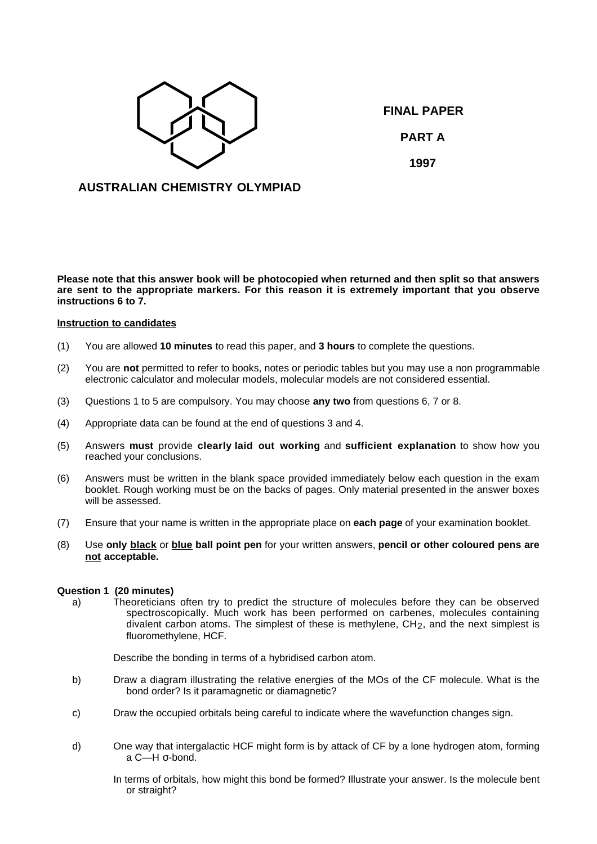

**FINAL PAPER PART A 1997**

# **AUSTRALIAN CHEMISTRY OLYMPIAD**

**Please note that this answer book will be photocopied when returned and then split so that answers are sent to the appropriate markers. For this reason it is extremely important that you observe instructions 6 to 7.**

### **Instruction to candidates**

- (1) You are allowed **10 minutes** to read this paper, and **3 hours** to complete the questions.
- (2) You are **not** permitted to refer to books, notes or periodic tables but you may use a non programmable electronic calculator and molecular models, molecular models are not considered essential.
- (3) Questions 1 to 5 are compulsory. You may choose **any two** from questions 6, 7 or 8.
- (4) Appropriate data can be found at the end of questions 3 and 4.
- (5) Answers **must** provide **clearly laid out working** and **sufficient explanation** to show how you reached your conclusions.
- (6) Answers must be written in the blank space provided immediately below each question in the exam booklet. Rough working must be on the backs of pages. Only material presented in the answer boxes will be assessed.
- (7) Ensure that your name is written in the appropriate place on **each page** of your examination booklet.
- (8) Use **only black** or **blue ball point pen** for your written answers, **pencil or other coloured pens are not acceptable.**

### **Question 1 (20 minutes)**

a) Theoreticians often try to predict the structure of molecules before they can be observed spectroscopically. Much work has been performed on carbenes, molecules containing divalent carbon atoms. The simplest of these is methylene,  $CH<sub>2</sub>$ , and the next simplest is fluoromethylene, HCF.

Describe the bonding in terms of a hybridised carbon atom.

- b) Draw a diagram illustrating the relative energies of the MOs of the CF molecule. What is the bond order? Is it paramagnetic or diamagnetic?
- c) Draw the occupied orbitals being careful to indicate where the wavefunction changes sign.
- d) One way that intergalactic HCF might form is by attack of CF by a lone hydrogen atom, forming a C—H σ-bond.
	- In terms of orbitals, how might this bond be formed? Illustrate your answer. Is the molecule bent or straight?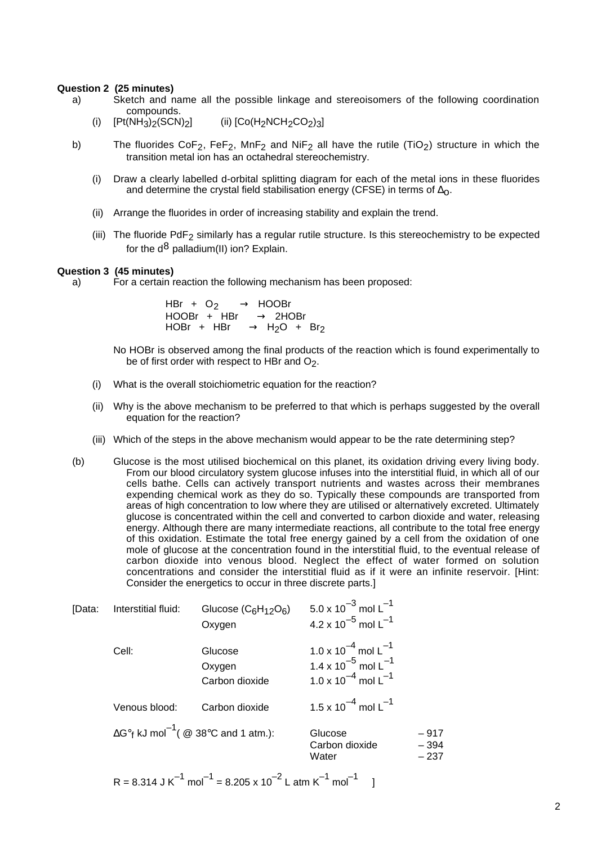### **Question 2 (25 minutes)**

- a) Sketch and name all the possible linkage and stereoisomers of the following coordination compounds.
	- (i)  $[Pt(NH_3)_2(SCN)_2]$  (ii)  $[Co(H_2NCH_2CO_2)_3]$
- b) The fluorides  $CoF_2$ ,  $FeF_2$ ,  $MnF_2$  and  $NiF_2$  all have the rutile (TiO<sub>2</sub>) structure in which the transition metal ion has an octahedral stereochemistry.
	- (i) Draw a clearly labelled d-orbital splitting diagram for each of the metal ions in these fluorides and determine the crystal field stabilisation energy (CFSE) in terms of  $\Delta_{\Omega}$ .
	- (ii) Arrange the fluorides in order of increasing stability and explain the trend.
	- (iii) The fluoride PdF<sub>2</sub> similarly has a regular rutile structure. Is this stereochemistry to be expected for the  $d^8$  palladium(II) ion? Explain.

### **Question 3 (45 minutes)**

a) For a certain reaction the following mechanism has been proposed:

 $\text{HBr} + \text{O}_2 \longrightarrow \text{HOOBr}$  $HOOBr + HBr \longrightarrow 2HOBr$  $HOBr + HBr \longrightarrow H_2O + Br_2$ 

No HOBr is observed among the final products of the reaction which is found experimentally to be of first order with respect to HBr and  $O<sub>2</sub>$ .

- (i) What is the overall stoichiometric equation for the reaction?
- (ii) Why is the above mechanism to be preferred to that which is perhaps suggested by the overall equation for the reaction?
- (iii) Which of the steps in the above mechanism would appear to be the rate determining step?
- (b) Glucose is the most utilised biochemical on this planet, its oxidation driving every living body. From our blood circulatory system glucose infuses into the interstitial fluid, in which all of our cells bathe. Cells can actively transport nutrients and wastes across their membranes expending chemical work as they do so. Typically these compounds are transported from areas of high concentration to low where they are utilised or alternatively excreted. Ultimately glucose is concentrated within the cell and converted to carbon dioxide and water, releasing energy. Although there are many intermediate reactions, all contribute to the total free energy of this oxidation. Estimate the total free energy gained by a cell from the oxidation of one mole of glucose at the concentration found in the interstitial fluid, to the eventual release of carbon dioxide into venous blood. Neglect the effect of water formed on solution concentrations and consider the interstitial fluid as if it were an infinite reservoir. [Hint: Consider the energetics to occur in three discrete parts.]

| [Data: | Interstitial fluid:                                            | Glucose $(C_6H_{12}O_6)$<br>Oxygen  | 5.0 x 10 <sup>-3</sup> mol L <sup>-1</sup><br>4.2 x 10 <sup>-5</sup> mol L <sup>-1</sup>                                      |                           |
|--------|----------------------------------------------------------------|-------------------------------------|-------------------------------------------------------------------------------------------------------------------------------|---------------------------|
|        | Cell:                                                          | Glucose<br>Oxygen<br>Carbon dioxide | 1.0 x 10 <sup>-4</sup> mol L <sup>-1</sup><br>1.4 x $10^{-5}$ mol L <sup>-1</sup><br>$1.0 \times 10^{-4}$ mol L <sup>-1</sup> |                           |
|        | Venous blood:                                                  | Carbon dioxide                      | 1.5 x 10 <sup>-4</sup> mol L <sup>-1</sup>                                                                                    |                           |
|        | $\Delta G^{\circ}$ f kJ mol <sup>-1</sup> (@ 38°C and 1 atm.): |                                     | Glucose<br>Carbon dioxide<br>Water                                                                                            | $-917$<br>$-394$<br>– 237 |
|        |                                                                |                                     |                                                                                                                               |                           |

 $R = 8.314$  J K<sup>-1</sup> mol<sup>-1</sup> = 8.205 x 10<sup>-2</sup> L atm K<sup>-1</sup> mol<sup>-1</sup> l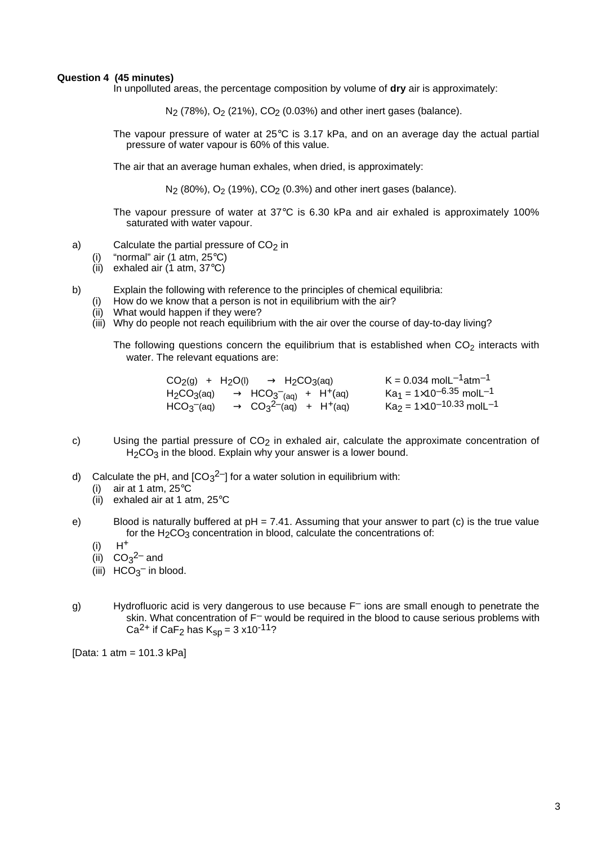### **Question 4 (45 minutes)**

In unpolluted areas, the percentage composition by volume of **dry** air is approximately:

N<sub>2</sub> (78%), O<sub>2</sub> (21%), CO<sub>2</sub> (0.03%) and other inert gases (balance).

The vapour pressure of water at 25°C is 3.17 kPa, and on an average day the actual partial pressure of water vapour is 60% of this value.

The air that an average human exhales, when dried, is approximately:

N<sub>2</sub> (80%), O<sub>2</sub> (19%), CO<sub>2</sub> (0.3%) and other inert gases (balance).

The vapour pressure of water at 37°C is 6.30 kPa and air exhaled is approximately 100% saturated with water vapour.

- a) Calculate the partial pressure of  $CO<sub>2</sub>$  in
	- (i) "normal" air (1 atm, 25°C)
	- (ii) exhaled air  $(1$  atm,  $37^{\circ}$ C)
- b) Explain the following with reference to the principles of chemical equilibria:
	- (i) How do we know that a person is not in equilibrium with the air?
	- (ii) What would happen if they were?
	- (iii) Why do people not reach equilibrium with the air over the course of day-to-day living?

The following questions concern the equilibrium that is established when  $CO<sub>2</sub>$  interacts with water. The relevant equations are:

|  | $CO2(g) + H2O(l) \longrightarrow H2CO3(aq)$                                             |  | $K = 0.034$ mol $L^{-1}$ atm <sup>-1</sup>                     |
|--|-----------------------------------------------------------------------------------------|--|----------------------------------------------------------------|
|  | $H_2CO_3(aq) \longrightarrow HCO_3(aq) + H^+(aq)$                                       |  | Ka $_1$ = 1 $\times$ 10 <sup>–6.35</sup> molL <sup>–1</sup>    |
|  | $HCO3$ <sup>-</sup> (aq) $\longrightarrow CO3$ <sup>2-</sup> (aq) + H <sup>+</sup> (aq) |  | $\text{Ka}_2 = 1 \times 10^{-10.33} \text{ mol} \text{L}^{-1}$ |

- c) Using the partial pressure of  $CO<sub>2</sub>$  in exhaled air, calculate the approximate concentration of H<sub>2</sub>CO<sub>3</sub> in the blood. Explain why your answer is a lower bound.
- d) Calculate the pH, and  $[CO<sub>3</sub><sup>2–</sup>]$  for a water solution in equilibrium with:
	- (i) air at 1 atm, 25°C
	- (ii) exhaled air at 1 atm, 25°C
- e) Blood is naturally buffered at pH = 7.41. Assuming that your answer to part (c) is the true value for the  $H_2CO_3$  concentration in blood, calculate the concentrations of:
	- $(ii)$   $H^+$
	- (ii)  $CO<sub>3</sub><sup>2–</sup>$  and
	- (iii)  $HCO<sub>3</sub><sup>-</sup>$  in blood.
- g) Hydrofluoric acid is very dangerous to use because  $F^-$  ions are small enough to penetrate the skin. What concentration of F<sup>-</sup> would be required in the blood to cause serious problems with Ca<sup>2+</sup> if CaF<sub>2</sub> has  $K_{SD} = 3 \times 10^{-11}$ ?

[Data: 1 atm = 101.3 kPa]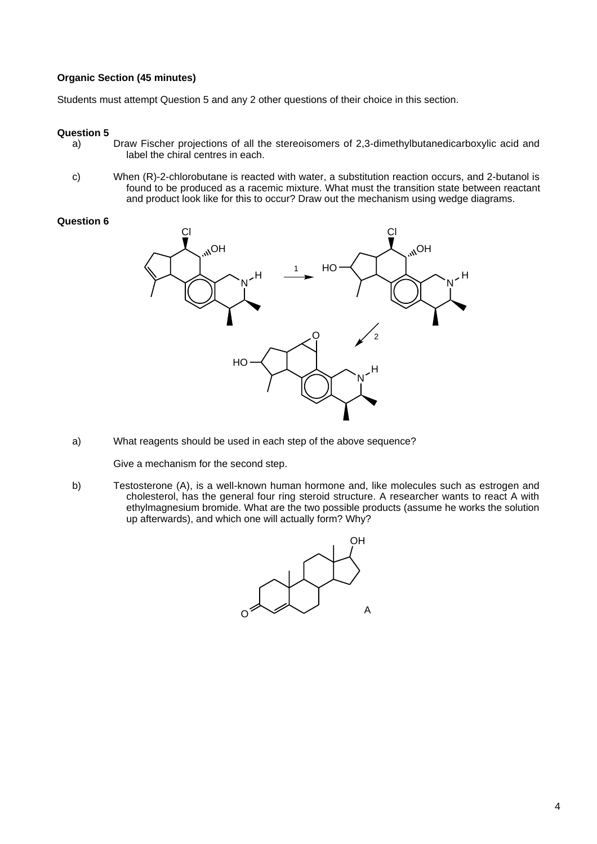# **Organic Section (45 minutes)**

Students must attempt Question 5 and any 2 other questions of their choice in this section.

## **Question 5**

- a) Draw Fischer projections of all the stereoisomers of 2,3-dimethylbutanedicarboxylic acid and label the chiral centres in each.
- c) When (R)-2-chlorobutane is reacted with water, a substitution reaction occurs, and 2-butanol is found to be produced as a racemic mixture. What must the transition state between reactant and product look like for this to occur? Draw out the mechanism using wedge diagrams.

## **Question 6**



a) What reagents should be used in each step of the above sequence?

Give a mechanism for the second step.

b) Testosterone (A), is a well-known human hormone and, like molecules such as estrogen and cholesterol, has the general four ring steroid structure. A researcher wants to react A with ethylmagnesium bromide. What are the two possible products (assume he works the solution up afterwards), and which one will actually form? Why?